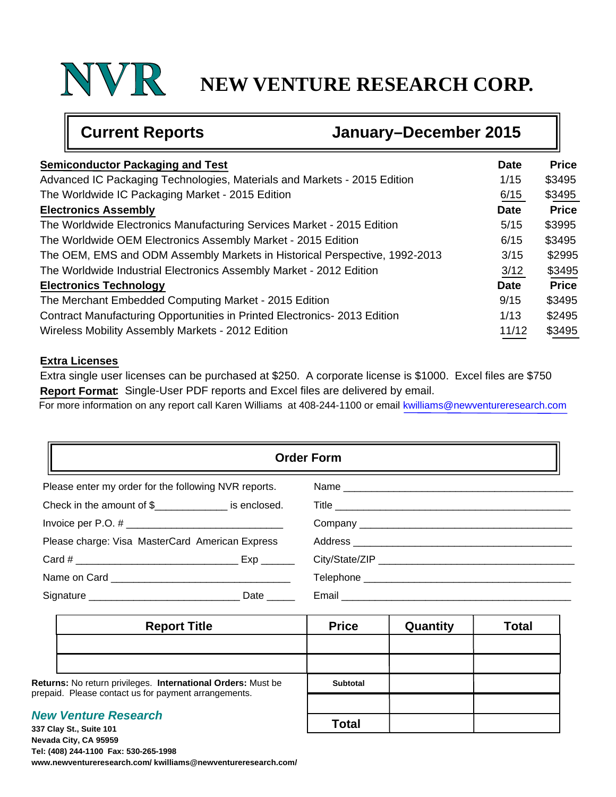## **NEW VENTURE RESEARCH CORP.**

╗

|                                                        | <b>Current Reports</b>                                                     | January-December 2015 |              |  |  |
|--------------------------------------------------------|----------------------------------------------------------------------------|-----------------------|--------------|--|--|
| <b>Semiconductor Packaging and Test</b><br><b>Date</b> |                                                                            |                       |              |  |  |
|                                                        | Advanced IC Packaging Technologies, Materials and Markets - 2015 Edition   | 1/15                  | \$3495       |  |  |
|                                                        | The Worldwide IC Packaging Market - 2015 Edition                           | 6/15                  | \$3495       |  |  |
|                                                        | <b>Electronics Assembly</b>                                                | <b>Date</b>           | <b>Price</b> |  |  |
|                                                        | The Worldwide Electronics Manufacturing Services Market - 2015 Edition     | 5/15                  | \$3995       |  |  |
|                                                        | The Worldwide OEM Electronics Assembly Market - 2015 Edition               | 6/15                  | \$3495       |  |  |
|                                                        | The OEM, EMS and ODM Assembly Markets in Historical Perspective, 1992-2013 | 3/15                  | \$2995       |  |  |
|                                                        | The Worldwide Industrial Electronics Assembly Market - 2012 Edition        | 3/12                  | \$3495       |  |  |
|                                                        | <b>Electronics Technology</b>                                              | <b>Date</b>           | <b>Price</b> |  |  |
|                                                        | The Merchant Embedded Computing Market - 2015 Edition                      | 9/15                  | \$3495       |  |  |
|                                                        | Contract Manufacturing Opportunities in Printed Electronics-2013 Edition   | 1/13                  | \$2495       |  |  |
|                                                        | Wireless Mobility Assembly Markets - 2012 Edition                          | 11/12                 | \$3495       |  |  |

#### **Extra Licenses**

Œ

Extra single user licenses can be purchased at \$250. A corporate license is \$1000. Excel files are \$750 **Report Format:** Single-User PDF reports and Excel files are delivered by email.

For more information on any report call Karen Williams at 408-244-1100 or email kwilliams@newventureresearch.com

| <b>Order Form</b>                                    |                               |  |  |  |  |
|------------------------------------------------------|-------------------------------|--|--|--|--|
| Please enter my order for the following NVR reports. |                               |  |  |  |  |
| Check in the amount of $\frac{1}{2}$ is enclosed.    |                               |  |  |  |  |
|                                                      |                               |  |  |  |  |
| Please charge: Visa MasterCard American Express      |                               |  |  |  |  |
| Card #                                               |                               |  |  |  |  |
|                                                      |                               |  |  |  |  |
| Date $\_\_$                                          | Email _______________________ |  |  |  |  |

|                                                                                                                      | <b>Report Title</b> | <b>Price</b>    | Quantity | <b>Total</b> |
|----------------------------------------------------------------------------------------------------------------------|---------------------|-----------------|----------|--------------|
|                                                                                                                      |                     |                 |          |              |
|                                                                                                                      |                     |                 |          |              |
| Returns: No return privileges. International Orders: Must be<br>prepaid. Please contact us for payment arrangements. |                     | <b>Subtotal</b> |          |              |
|                                                                                                                      |                     |                 |          |              |
| <b>New Venture Research</b><br>337 Clay St., Suite 101                                                               |                     | <b>Total</b>    |          |              |

**337 Clay St., Suite 101 Nevada City, CA 95959 Tel: (408) 244-1100 Fax: 530-265-1998 www.newventureresearch.com/ kwilliams@newventureresearch.com/**